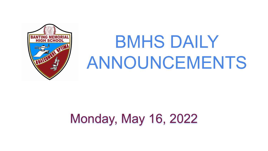

# BMHS DAILY ANNOUNCEMENTS

## Monday, May 16, 2022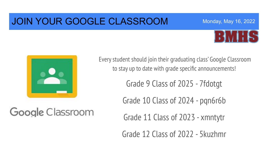#### JOIN YOUR GOOGLE CLASSROOM



Monday, May 16, 2022



Google Classroom

Every student should join their graduating class' Google Classroom to stay up to date with grade specific announcements!

Grade 9 Class of 2025 - 7fdotgt

Grade 10 Class of 2024 - pqn6r6b

Grade 11 Class of 2023 - xmntytr

Grade 12 Class of 2022 - 5kuzhmr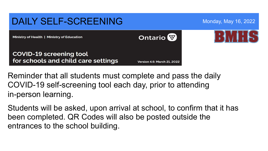

Reminder that all students must complete and pass the daily COVID-19 self-screening tool each day, prior to attending in-person learning.

Students will be asked, upon arrival at school, to confirm that it has been completed. QR Codes will also be posted outside the entrances to the school building.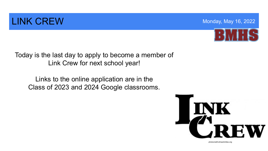#### **LINK CREW Monday, May 16, 2022**



Today is the last day to apply to become a member of Link Crew for next school year!

Links to the online application are in the Class of 2023 and 2024 Google classrooms.



photocredit:whsactivities.org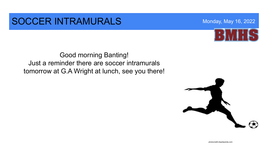#### SOCCER INTRAMURALS Monday, May 16, 2022

Good morning Banting! Just a reminder there are soccer intramurals tomorrow at G.A Wright at lunch, see you there!



photocredit:clipartpanda.com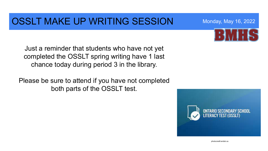### OSSLT MAKE UP WRITING SESSION Monday, May 16, 2022

Just a reminder that students who have not yet completed the OSSLT spring writing have 1 last chance today during period 3 in the library.

Please be sure to attend if you have not completed both parts of the OSSLT test.





photocredit:wrdsb.ca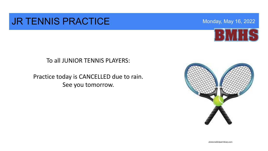#### **JR TENNIS PRACTICE** Monday, May 16, 2022



#### To all JUNIOR TENNIS PLAYERS:

Practice today is CANCELLED due to rain. See you tomorrow.



photocreditclipart-library.com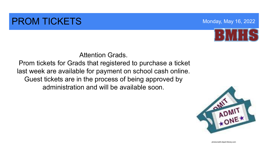#### **PROM TICKETS Monday, May 16, 2022**



#### Attention Grads.

 Prom tickets for Grads that registered to purchase a ticket last week are available for payment on school cash online. Guest tickets are in the process of being approved by administration and will be available soon.



photocredit:clipart-library.com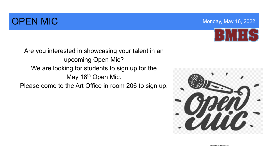### **OPEN MIC MONDAY AND ACCOUNT OF THE UP OF THE MONDAY** MONDAY, May 16, 2022



Are you interested in showcasing your talent in an upcoming Open Mic? We are looking for students to sign up for the May 18<sup>th</sup> Open Mic. Please come to the Art Office in room 206 to sign up.

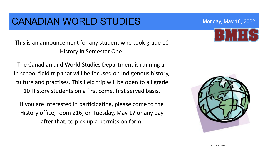#### CANADIAN WORLD STUDIES Monday, May 16, 2022

This is an announcement for any student who took grade 10 History in Semester One:

 The Canadian and World Studies Department is running an in school field trip that will be focused on Indigenous history, culture and practises. This field trip will be open to all grade 10 History students on a first come, first served basis.

If you are interested in participating, please come to the History office, room 216, on Tuesday, May 17 or any day after that, to pick up a permission form.

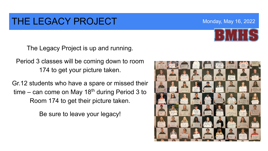#### THE LEGACY PROJECT Monday, May 16, 2022

The Legacy Project is up and running.

Period 3 classes will be coming down to room 174 to get your picture taken.

Gr.12 students who have a spare or missed their time – can come on May 18<sup>th</sup> during Period 3 to Room 174 to get their picture taken.

Be sure to leave your legacy!

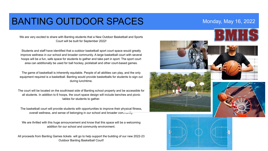#### BANTING OUTDOOR SPACES Monday, May 16, 2022

We are very excited to share with Banting students that a New Outdoor Basketball and Sports Court will be built for September 2022!

Students and staff have identified that a outdoor basketball sport court space would greatly improve wellness in our school and broader community. A large basketball court with several hoops will be a fun, safe space for students to gather and take part in sport. The sport court area can additionally be used for ball hockey, pickleball and other court-based games.

The game of basketball is inherently equitable. People of all abilities can play, and the only equipment required is a basketball. Banting would provide basketballs for students to sign out during lunchtime.

The court will be located on the south/east side of Banting school property and be accessible for all students. In addition to 6 hoops, the court space design will include benches and picnic tables for students to gather.

The basketball court will provide students with opportunities to improve their physical fitness, overall wellness, and sense of belonging in our school and broader community.

We are thrilled with this huge announcement and know that this space will be a welcoming addition for our school and community environment.

All proceeds from Banting Games tickets will go to help support the building of our new 2022-23 Outdoor Banting Basketball Court!









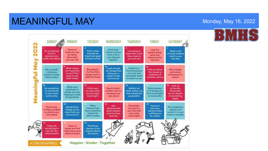#### MEANINGFUL MAY **May 16, 2022** Monday, May 16, 2022

#### MONDAY SUNDAY TUESDAY WEDNESDAY THURSDAY FRIDAY SATURDAY 202 **Focus on** Send your Look for Do something Take a step Let someone **Make a list** what you can friend a photo people doing kind for towards on inow how much of what matters do rather from a time good and someone you important goal they mean to most to you than what you enjoyed reasons to be š eally care about however small and why you and why you can't do together cheerful Ź  $\frac{11}{2}$  Look around What values Listen to a **Be grateful** Set yourself Find out obout Get outside are important for things that favourite piece a kindness for the little the values or and notice eaningful to you? Find bring you a of music and mission to help things, even in traditions of the beauty in remember what ways to use sense of awe others today difficult times another culture noture. them today and wonder it means to you 15 19 21 Look up Show your Do something Find a way Send a hand-**Reflect on** Share photos at the sky. gratitude to: to contribute to make what what makes you of 3 things you written note to Remember people who are to your local you do today feel valued and find meaningful someone you we are all part helping to make or memoroble community meaningful care about purposeful of something things better bigger 23 25 **Make** Ask Remember Focus on: **Recall three** Do something Find a way chaices that someone else on event in how your to help a project things you've special and have a positive what matters your life that actions make or charity you done that you revisit it in your impact for a difference most to them was really care about are proud of memory tonight others today meaningful for others and why **Today do** Share a Find three something to quote you find reasons to be care for the inspiring to give hopeful about natural world others a boost the future

Happier · Kinder · Together

**ACTION FOR HAPPINESS**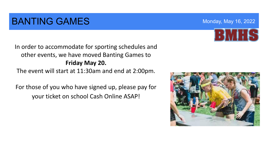### **BANTING GAMES** Monday, May 16, 2022

In order to accommodate for sporting schedules and other events, we have moved Banting Games to **Friday May 20.**  The event will start at 11:30am and end at 2:00pm.

For those of you who have signed up, please pay for your ticket on school Cash Online ASAP!





63 V 16